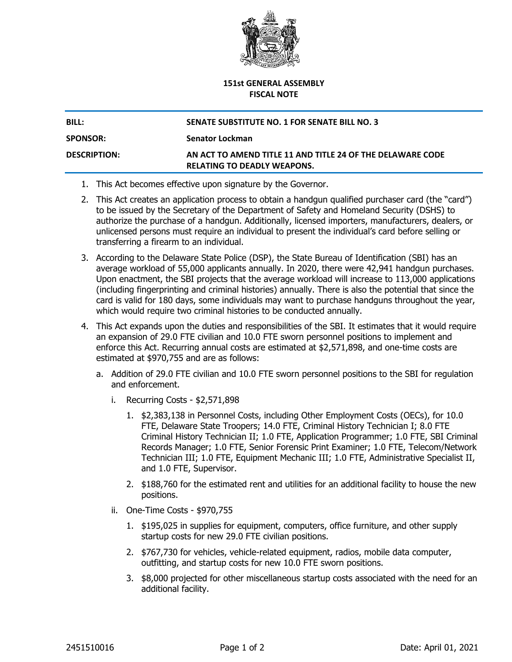

## **151st GENERAL ASSEMBLY FISCAL NOTE**

**SPONSOR: Senator Lockman**

## **BILL: SENATE SUBSTITUTE NO. 1 FOR SENATE BILL NO. 3**

## **DESCRIPTION: AN ACT TO AMEND TITLE 11 AND TITLE 24 OF THE DELAWARE CODE RELATING TO DEADLY WEAPONS.**

- 1. This Act becomes effective upon signature by the Governor.
- 2. This Act creates an application process to obtain a handgun qualified purchaser card (the "card") to be issued by the Secretary of the Department of Safety and Homeland Security (DSHS) to authorize the purchase of a handgun. Additionally, licensed importers, manufacturers, dealers, or unlicensed persons must require an individual to present the individual's card before selling or transferring a firearm to an individual.
- 3. According to the Delaware State Police (DSP), the State Bureau of Identification (SBI) has an average workload of 55,000 applicants annually. In 2020, there were 42,941 handgun purchases. Upon enactment, the SBI projects that the average workload will increase to 113,000 applications (including fingerprinting and criminal histories) annually. There is also the potential that since the card is valid for 180 days, some individuals may want to purchase handguns throughout the year, which would require two criminal histories to be conducted annually.
- 4. This Act expands upon the duties and responsibilities of the SBI. It estimates that it would require an expansion of 29.0 FTE civilian and 10.0 FTE sworn personnel positions to implement and enforce this Act. Recurring annual costs are estimated at \$2,571,898, and one-time costs are estimated at \$970,755 and are as follows:
	- a. Addition of 29.0 FTE civilian and 10.0 FTE sworn personnel positions to the SBI for regulation and enforcement.
		- i. Recurring Costs \$2,571,898
			- 1. \$2,383,138 in Personnel Costs, including Other Employment Costs (OECs), for 10.0 FTE, Delaware State Troopers; 14.0 FTE, Criminal History Technician I; 8.0 FTE Criminal History Technician II; 1.0 FTE, Application Programmer; 1.0 FTE, SBI Criminal Records Manager; 1.0 FTE, Senior Forensic Print Examiner; 1.0 FTE, Telecom/Network Technician III; 1.0 FTE, Equipment Mechanic III; 1.0 FTE, Administrative Specialist II, and 1.0 FTE, Supervisor.
			- 2. \$188,760 for the estimated rent and utilities for an additional facility to house the new positions.
		- ii. One-Time Costs \$970,755
			- 1. \$195,025 in supplies for equipment, computers, office furniture, and other supply startup costs for new 29.0 FTE civilian positions.
			- 2. \$767,730 for vehicles, vehicle-related equipment, radios, mobile data computer, outfitting, and startup costs for new 10.0 FTE sworn positions.
			- 3. \$8,000 projected for other miscellaneous startup costs associated with the need for an additional facility.